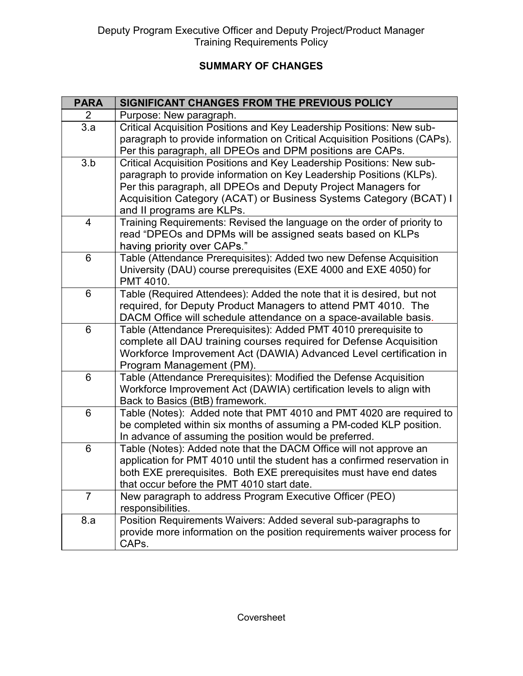## SUMMARY OF CHANGES

|                | <b>SUMMARY OF CHANGES</b>                                                                                                                       |  |  |
|----------------|-------------------------------------------------------------------------------------------------------------------------------------------------|--|--|
|                |                                                                                                                                                 |  |  |
| <b>PARA</b>    | SIGNIFICANT CHANGES FROM THE PREVIOUS POLICY                                                                                                    |  |  |
| 2<br>3.a       | Purpose: New paragraph.<br>Critical Acquisition Positions and Key Leadership Positions: New sub-                                                |  |  |
|                | paragraph to provide information on Critical Acquisition Positions (CAPs).                                                                      |  |  |
|                | Per this paragraph, all DPEOs and DPM positions are CAPs.                                                                                       |  |  |
| 3.b            | Critical Acquisition Positions and Key Leadership Positions: New sub-                                                                           |  |  |
|                | paragraph to provide information on Key Leadership Positions (KLPs).                                                                            |  |  |
|                | Per this paragraph, all DPEOs and Deputy Project Managers for<br>Acquisition Category (ACAT) or Business Systems Category (BCAT) I              |  |  |
|                | and II programs are KLPs.                                                                                                                       |  |  |
| 4              | Training Requirements: Revised the language on the order of priority to                                                                         |  |  |
|                | read "DPEOs and DPMs will be assigned seats based on KLPs                                                                                       |  |  |
| 6              | having priority over CAPs."<br>Table (Attendance Prerequisites): Added two new Defense Acquisition                                              |  |  |
|                | University (DAU) course prerequisites (EXE 4000 and EXE 4050) for                                                                               |  |  |
|                | PMT 4010.                                                                                                                                       |  |  |
| 6              | Table (Required Attendees): Added the note that it is desired, but not                                                                          |  |  |
|                | required, for Deputy Product Managers to attend PMT 4010. The                                                                                   |  |  |
| 6              | DACM Office will schedule attendance on a space-available basis.<br>Table (Attendance Prerequisites): Added PMT 4010 prerequisite to            |  |  |
|                | complete all DAU training courses required for Defense Acquisition                                                                              |  |  |
|                | Workforce Improvement Act (DAWIA) Advanced Level certification in                                                                               |  |  |
|                | Program Management (PM).                                                                                                                        |  |  |
| 6              | Table (Attendance Prerequisites): Modified the Defense Acquisition<br>Workforce Improvement Act (DAWIA) certification levels to align with      |  |  |
|                | Back to Basics (BtB) framework.                                                                                                                 |  |  |
| 6              | Table (Notes): Added note that PMT 4010 and PMT 4020 are required to                                                                            |  |  |
|                | be completed within six months of assuming a PM-coded KLP position.                                                                             |  |  |
|                | In advance of assuming the position would be preferred.                                                                                         |  |  |
| 6              | Table (Notes): Added note that the DACM Office will not approve an<br>application for PMT 4010 until the student has a confirmed reservation in |  |  |
|                | both EXE prerequisites. Both EXE prerequisites must have end dates                                                                              |  |  |
|                | that occur before the PMT 4010 start date.                                                                                                      |  |  |
| $\overline{7}$ | New paragraph to address Program Executive Officer (PEO)                                                                                        |  |  |
|                | responsibilities.                                                                                                                               |  |  |
| 8.a            | Position Requirements Waivers: Added several sub-paragraphs to                                                                                  |  |  |
|                | provide more information on the position requirements waiver process for<br>CAPs.                                                               |  |  |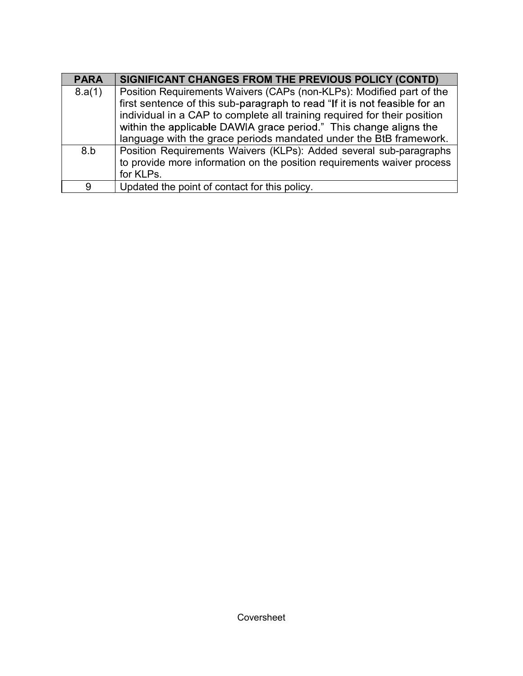| <b>PARA</b> | SIGNIFICANT CHANGES FROM THE PREVIOUS POLICY (CONTD)                                                                                                   |
|-------------|--------------------------------------------------------------------------------------------------------------------------------------------------------|
| 8.a(1)      | Position Requirements Waivers (CAPs (non-KLPs): Modified part of the                                                                                   |
|             | first sentence of this sub-paragraph to read "If it is not feasible for an<br>individual in a CAP to complete all training required for their position |
|             | within the applicable DAWIA grace period." This change aligns the                                                                                      |
| 8.b         | language with the grace periods mandated under the BtB framework.<br>Position Requirements Waivers (KLPs): Added several sub-paragraphs                |
|             | to provide more information on the position requirements waiver process<br>for KLPs.                                                                   |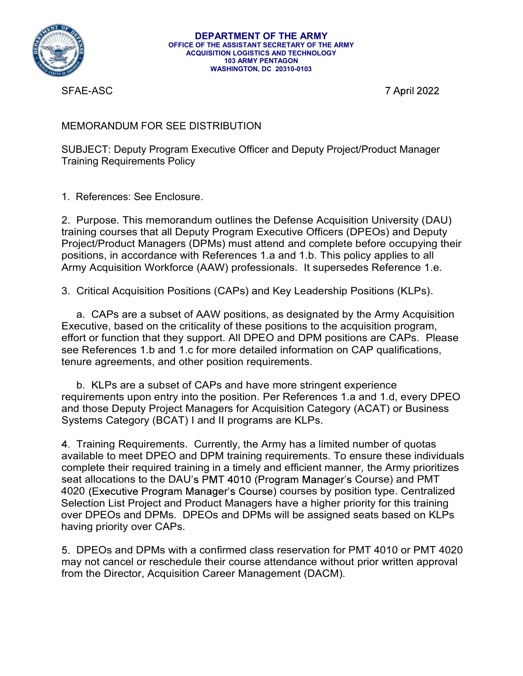

SFAE-ASC

## MEMORANDUM FOR SEE DISTRIBUTION

SUBJECT: Deputy Program Executive Officer and Deputy Project/Product Manager Training Requirements Policy

**DEPARTMENT OF THE ARMY<br>
OFFICE OF THE ASSISTANT SECRETARY OF THE ARMY<br>
ACQUISITION LOGISTICS AND TECHNOLOGY<br>
WASHINGTON, DC 20310-0103<br>
SFAE-ASC<br>
MEMORANDUM FOR SEE DISTRIBUTION<br>
SUBJECT: Deputy Program Executive Officer EPARTMENT OF THE ARMY**<br>
OFFICE OF THE ASISTANT SCREEVANT OF THE ARMY<br>
MOUNTIFURE AND TECHNOLOGY<br>
MOUNTIFURE MANY PRIVATION<br>
STAE-ASC<br>
TAPIN PROGRAM CONSULTION<br>
SUBJECT: Deputy Program Executive Officer and Deputy Project/ training courses that all Deputy Program Executive Officers (DPEOs) and Deputy Project/Product Managers (DPMs) must attend and complete before occupying their positions, in accordance with References 1.a and 1.b. This policy applies to all Army Acquisition Windows and Secret May and Secret May acquisition May acquisition Washington, BC 20316-013<br>
MEMORANDUM FOR SEE DISTRIBUTION<br>
SUBJECT: Deputy Program Executive Officer and Deputy Project/Product Manager<br>
Tr VASHINGTON, DC 20316-9183<br>
3. T April 2022<br>
MEMORANDUM FOR SEE DISTRIBUTION<br>
SUBJECT: Deputy Program Executive Officer and Deputy Project/Product Manager<br>
1. References: See Enclosure.<br>
1. References: See Enclosure.<br>
1. Re THE TRIM THE SECT CONDITION THE SECT CONDITION THE SECT: Deputy Program Executive Officer and Deputy Project/Product Manager<br>
References: See Enclosure.<br>
Purpose. This memorandum outlines the Defense Acquisition University

Executive, based on the criticality of these positions to the acquisition program, effort or function that they support. All DPEO and DPM positions are CAPs. Please see References 1.b and 1.c for more detailed information on CAP qualifications, tenure agreements, and other position requirements.

b. KLPs are a subset of CAPs and have more stringent experience requirements upon entry into the position. Per References 1.a and 1.d, every DPEO and those Deputy Project Managers for Acquisition Category (ACAT) or Business Systems Category (BCAT) I and II programs are KLPs.

Training Requirements. Currently, the Army has a limited number of quotas available to meet DPEO and DPM training requirements. To ensure these individuals complete their required training in a timely and efficient manner, the Army prioritizes seat allocations to the DAU's PMT 4010 (Program Manager's Course) and PMT 4020 (Executive Program Manager's Course) courses by position type. Centralized Selection List Project and Product Managers have a higher priority for this training over DPEOs and DPMs. DPEOs and DPMs will be assigned seats based on KLPs having priority over CAPs.

DPEOs and DPMs with a confirmed class reservation for PMT 4010 or PMT 4020 may not cancel or reschedule their course attendance without prior written approval from the Director, Acquisition Career Management (DACM).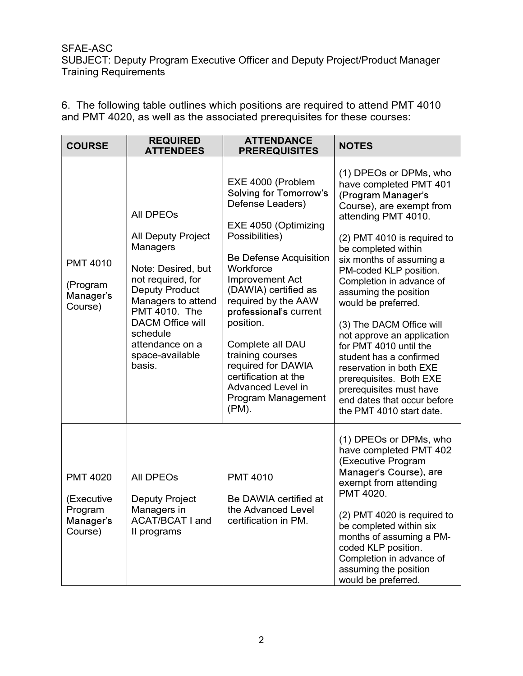| <b>SFAE-ASC</b><br>and PMT 4020, as well as the associated prerequisites for these courses: | SUBJECT: Deputy Program Executive Officer and Deputy Project/Product Manager<br><b>Training Requirements</b><br>6. The following table outlines which positions are required to attend PMT 4010                                               |                                                                                                                                                                                                                                                                                                                                                                                                               |                                                                                                                                                                                                                                                                                                                                                                                                                                                                                                                                                                              |  |  |  |
|---------------------------------------------------------------------------------------------|-----------------------------------------------------------------------------------------------------------------------------------------------------------------------------------------------------------------------------------------------|---------------------------------------------------------------------------------------------------------------------------------------------------------------------------------------------------------------------------------------------------------------------------------------------------------------------------------------------------------------------------------------------------------------|------------------------------------------------------------------------------------------------------------------------------------------------------------------------------------------------------------------------------------------------------------------------------------------------------------------------------------------------------------------------------------------------------------------------------------------------------------------------------------------------------------------------------------------------------------------------------|--|--|--|
| <b>COURSE</b>                                                                               | <b>REQUIRED</b><br><b>ATTENDEES</b>                                                                                                                                                                                                           | <b>ATTENDANCE</b><br><b>PREREQUISITES</b>                                                                                                                                                                                                                                                                                                                                                                     | <b>NOTES</b>                                                                                                                                                                                                                                                                                                                                                                                                                                                                                                                                                                 |  |  |  |
| <b>PMT 4010</b><br>(Program<br>Manager's<br>Course)                                         | All DPEOs<br>All Deputy Project<br>Managers<br>Note: Desired, but<br>not required, for<br><b>Deputy Product</b><br>Managers to attend<br>PMT 4010. The<br><b>DACM Office will</b><br>schedule<br>attendance on a<br>space-available<br>basis. | EXE 4000 (Problem<br><b>Solving for Tomorrow's</b><br>Defense Leaders)<br>EXE 4050 (Optimizing<br>Possibilities)<br>Be Defense Acquisition<br>Workforce<br>Improvement Act<br>(DAWIA) certified as<br>required by the AAW<br>professional's current<br>position.<br>Complete all DAU<br>training courses<br>required for DAWIA<br>certification at the<br>Advanced Level in<br>Program Management<br>$(PM)$ . | (1) DPEOs or DPMs, who<br>have completed PMT 401<br>(Program Manager's<br>Course), are exempt from<br>attending PMT 4010.<br>(2) PMT 4010 is required to<br>be completed within<br>six months of assuming a<br>PM-coded KLP position.<br>Completion in advance of<br>assuming the position<br>would be preferred.<br>(3) The DACM Office will<br>not approve an application<br>for PMT 4010 until the<br>student has a confirmed<br>reservation in both EXE<br>prerequisites. Both EXE<br>prerequisites must have<br>end dates that occur before<br>the PMT 4010 start date. |  |  |  |
| <b>PMT 4020</b><br>(Executive<br>Program<br>Manager's<br>Course)                            | All DPEOs<br>Deputy Project<br>Managers in<br><b>ACAT/BCAT I and</b><br>Il programs                                                                                                                                                           | <b>PMT 4010</b><br>Be DAWIA certified at<br>the Advanced Level<br>certification in PM.                                                                                                                                                                                                                                                                                                                        | (1) DPEOs or DPMs, who<br>have completed PMT 402<br>(Executive Program<br>Manager's Course), are<br>exempt from attending<br>PMT 4020.<br>(2) PMT 4020 is required to<br>be completed within six<br>months of assuming a PM-<br>coded KLP position.<br>Completion in advance of<br>assuming the position<br>would be preferred.                                                                                                                                                                                                                                              |  |  |  |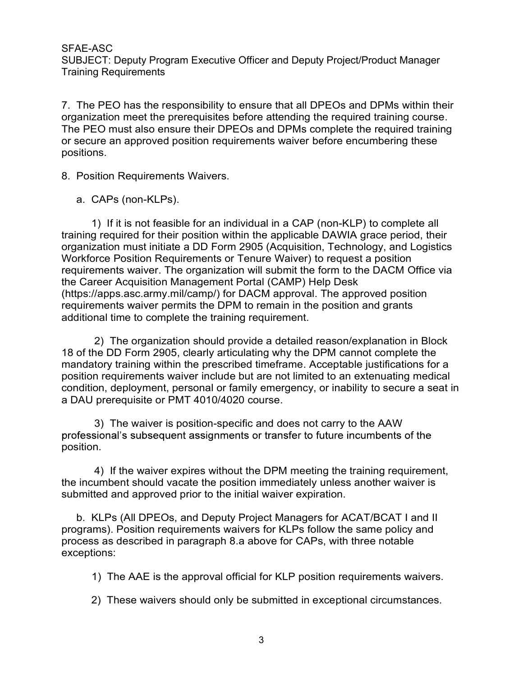SFAE-ASC

SUBJECT: Deputy Program Executive Officer and Deputy Project/Product Manager Training Requirements

SFAE-ASC<br>SUBJECT: Deputy Program Executive Officer and Deputy Project/Product Manager<br>Training Requirements<br>organization meet the prerequisites before attending the required training course.<br>The PEO must also ensure their SFAE-ASC<br>SUBJECT: Deputy Program Executive Officer and Deputy Project/Product Manager<br>Training Requirements<br>7. The PEO has the responsibility to ensure that all DPEOs and DPMs within their<br>organization meet the prerequisit SFAE-ASC<br>SUBJECT: Deputy Program Executive Officer and Deputy Project/Product Manager<br>Training Requirements<br>7. The PEO has the responsibility to ensure that all DPEOs and DPMs within their<br>organization meet the prerequisit SFAE-ASC<br>SUBJECT: Deputy Program Executive Officer and Deputy Project/Product Manager<br>Training Requirements<br>organization meet the prerequisites before attending the required training course.<br>The PEO must also ensure their positions. SFAE-ASC<br>
SUBJECT: Deputy Program Executive Officer and Deputy Projec<br>
Training Requirements<br>
7. The PEO has the responsibility to ensure that all DPEOs an<br>
organization meet the prerequisites before attending the requir<br> AE-ASC<br>BJECT: Deputy Program Executive Officer and Deputy Project/Product I<br>ining Requirements<br>The PEO has the responsibility to ensure that all DPEOs and DPMs<br>anization meet the prerequisites before attending the required

ASC<br>
1) If it is not fear the prerequisite officer and Deputy Project/Product Manager<br>
1) If equivements<br>
2) If equiver the prerequisites before attending the required training course.<br>
1) If it is not also ensure their DP SFAE-ASC<br>SUBJECT: Deputy Program Executive Officer and Deputy Project/Product Manager<br>Training Requirements<br>The PEO has the responsibility to ensure that all DPEOs and DPMs within their<br>organization meet the prerequisites organization must initiate a DD Form 2905 (Acquisition, Technology, and Logistics SFAE-ASC<br>SUBJECT: Deputy Program Executive Officer and Deputy Project/Product Manager<br>Training Requirements<br>Training Requirements<br>7. The PEO has the responsibility to ensure that all DPEOs and DPMs within their<br>organizatio SHAE-ASC<br>SUBJECT: Deputy Program Executive Officer and Deputy Project/Product Manager<br>Training Requirements<br>The PEO has the responsibility to ensure that all DPEOs and DPMs within their<br>organization meet the prerequisites the Career Acquisition Management Portal (CAMP) Help Desk Training Requirements<br>
7. The PEO has the responsibility to ensure that all DPEOs and DPMs within their<br>
organization meet the prerequisites before attending the required training course.<br>
The PEO must also ensure their DP requirements waiver permits the DPM to remain in the position and grants additional time to complete the training requirement. all the pierequisites below and DPMs complete the required variang boutset.<br>The organization reason should be a detailed reason should be required training consisting the should provide provide a detailed reasons.<br>The prov mandatory training provides a detailed reason-<br>positions.<br>
8. Position Requirements Waivers.<br>
1) If it is not feasible for an individual in a CAP (non-KLP) to complete all<br>
training required for their position within the a a. CAPs (non-KLPs).<br>
a. CAPs (non-KLPs).<br>
1) If it is not feasible for an individual in a CAP (non-KLP) to complete altraining required for their position within the applicable DAWIA grace period, the organization must ini For stron-rictines).<br>
In this is not feasible for an individual in a CAP (non-KLP) to complete all<br>
In required for their position within the applicable DAWIA grace period, their<br>
ration must initiate a DD Form 2905 (Acqui and the matter and the methanon in the station in the form to the DACM office via ments waiver. The organization will submit the form to the DACM Office via ments waiver The organization will submit the form to the DACM Of

18 of the DD Form 2905, clearly articulating why the DPM cannot complete the position requirements waiver include but are not limited to an extenuating medical condition, deployment, personal or family emergency, or inability to secure a seat in From the Care Constructure To the Care Constrainent Constrainent Products are position Management Portal (CAMP) Help Desk<br>the Care Acquisition Management Portal (CAMP) Help Desk<br>the Care Acquisition Management Portal (CAMP besizes canning that the mediator and provides the projection and grants or the summation of the DDFM to remain in the position and grants ditional time to complete the training requirement.<br>
2) The organization should pro equirements waiver permins the Drivit of emisini met postuditional time to complete the training requirement.<br>
2) The organization should provide a detailed reason/explanation in Block<br>
18 of the DD Form 2905, clearly arti adulo and me to complete the taming requirement.<br>
2) The roganization should provide a detailed reason/explanation in Block<br>
18 of the DD Form 2905, clearly articulating why the DPM cannot complete the<br>
mandatory training The Dot Folling Soo, deally allocating will be the method complete the constant of the prescribed timeframe. Acceptable justifications for a in equirements waiver include but are not limited to an extenuating medical one,

position.

submitted and approved prior to the initial waiver expiration.

exceptions: In equivers include out are not initing to an exceptional circumstances.<br>
2) The waiver is position-specific and does not carry to the AAW<br>
ional's subsequent assignments or transfer to future incumbents of the<br>
3) The wai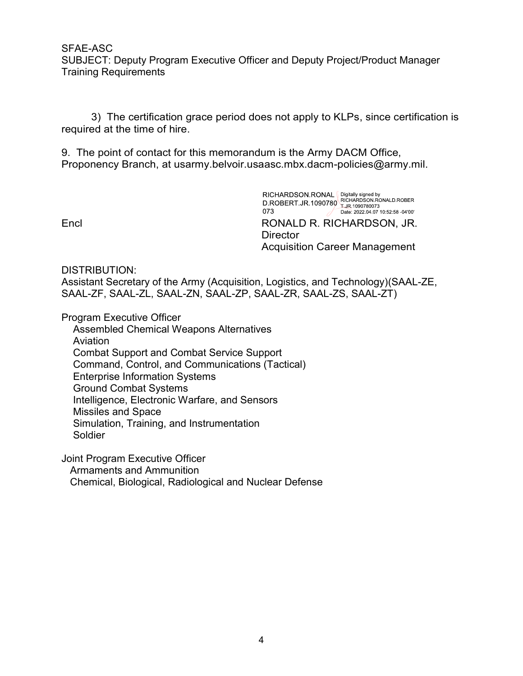SFAE-ASC SUBJECT: Deputy Program Executive Officer and Deputy Project/Product Manager Training Requirements ASC<br>3) The certification grace period does not apply Project/Product Manager<br>3) The certification grace period does not apply to KLPs, since certification is<br>3) The certification grace period does not apply to KLPs, since SFAE-ASC<br>SUBJECT: Deputy Program Executive Officer and Deputy Project/Product Manager<br>Training Requirements<br>3) The certification grace period does not apply to KLPs, since certification is<br>required at the time of hire.<br>9. SFAE-ASC<br>SUBJECT: Deputy Program Executive Officer and Deputy Project/Product Manager<br>Training Requirements<br>3) The certification grace period does not apply to KLPs, since certification is<br>required at the time of hire.<br>9. SFAE-ASC<br>
SUBJECT: Deputy Program Executive Officer and Deputy Project/Product Manager<br>
Training Requirements<br>
3) The certification grace period does not apply to KLPs, since certification is<br>
required at the time of hire.

required at the time of hire.

**Director** Acquisition Career Management

DISTRIBUTION:

Assistant Secretary of the Army (Acquisition, Logistics, and Technology)(SAAL-ZE, SAAL-ZF, SAAL-ZL, SAAL-ZN, SAAL-ZP, SAAL-ZR, SAAL-ZS, SAAL-ZT)

Program Executive Officer

Assembled Chemical Weapons Alternatives Aviation Combat Support and Combat Service Support Command, Control, and Communications (Tactical) Enterprise Information Systems Ground Combat Systems Intelligence, Electronic Warfare, and Sensors Missiles and Space Simulation, Training, and Instrumentation Soldier

Joint Program Executive Officer

Armaments and Ammunition

Chemical, Biological, Radiological and Nuclear Defense